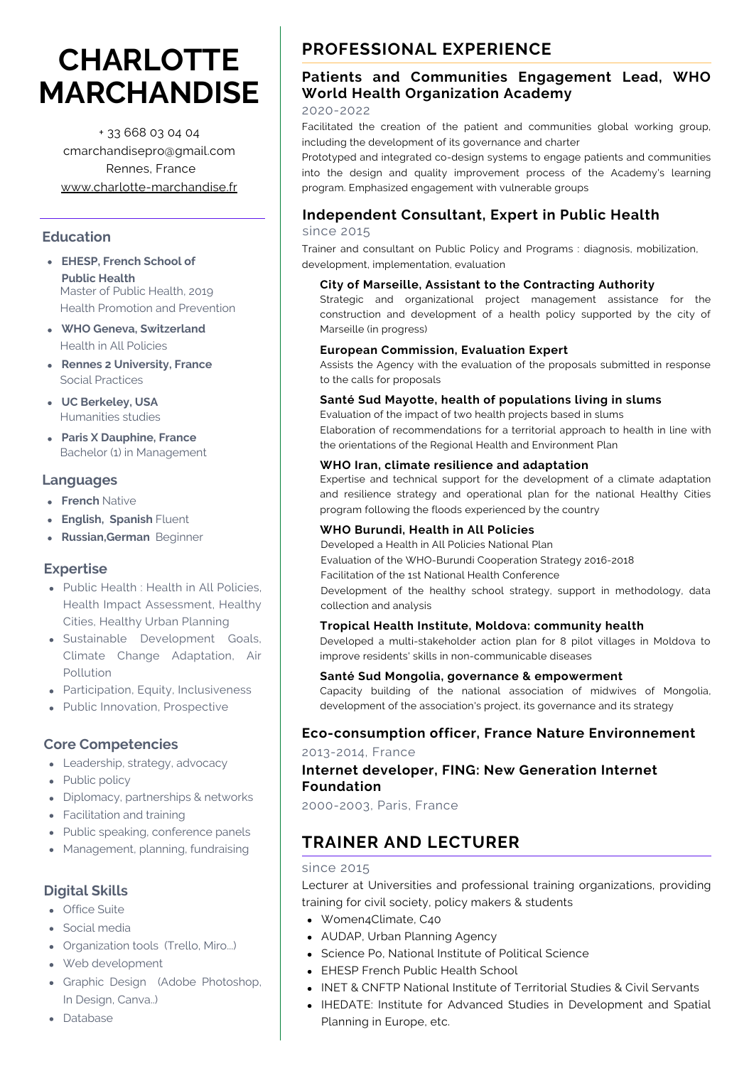# **CHARLOTTE MARCHANDISE**

+ 33 668 03 04 04 cmarchandisepro@gmail.com Rennes, France [www.charlotte-marchandise.fr](http://www.charlotte-marchandise.fr/)

### **Education**

- **EHESP, French School of Public Health** Master of Public Health, 2019 Health Promotion and Prevention
- **WHO Geneva, Switzerland** Health in All Policies
- **Rennes 2 University, France** Social Practices
- **UC Berkeley, USA** Humanities studies
- **Paris X Dauphine, France** Bachelor (1) in Management

### **Languages**

- **French** Native
- **English, Spanish** Fluent
- **Russian,German** Beginner

# **Expertise**

- Public Health : Health in All Policies, Health Impact Assessment, Healthy Cities, Healthy Urban Planning
- Sustainable Development Goals, Climate Change Adaptation, Air Pollution
- Participation, Equity, Inclusiveness
- Public Innovation, Prospective

# **Core Competencies**

- Leadership, strategy, advocacy
- Public policy
- Diplomacy, partnerships & networks
- Facilitation and training
- Public speaking, conference panels
- Management, planning, fundraising

# **Digital Skills**

- Office Suite
- Social media
- Organization tools (Trello, Miro...)
- Web development
- Graphic Design (Adobe Photoshop, In Design, Canva..)
- Database

# **PROFESSIONAL EXPERIENCE**

# **Patients and Communities Engagement Lead, WHO World Health Organization Academy**

### 2020-2022

Facilitated the creation of the patient and communities global working group, including the development of its governance and charter

Prototyped and integrated co-design systems to engage patients and communities into the design and quality improvement process of the Academy's learning program. Emphasized engagement with vulnerable groups

# **Independent Consultant, Expert in Public Health**

since 2015

Trainer and consultant on Public Policy and Programs : diagnosis, mobilization, development, implementation, evaluation

### **City of Marseille, Assistant to the Contracting Authority**

Strategic and organizational project management assistance for the construction and development of a health policy supported by the city of Marseille (in progress)

### **European Commission, Evaluation Expert**

Assists the Agency with the evaluation of the proposals submitted in response to the calls for proposals

### **Santé Sud Mayotte, health of populations living in slums**

Evaluation of the impact of two health projects based in slums Elaboration of recommendations for a territorial approach to health in line with the orientations of the Regional Health and Environment Plan

#### **WHO Iran, climate resilience and adaptation**

Expertise and technical support for the development of a climate adaptation and resilience strategy and operational plan for the national Healthy Cities program following the floods experienced by the country

#### **WHO Burundi, Health in All Policies**

Developed a Health in All Policies National Plan Evaluation of the WHO-Burundi Cooperation Strategy 2016-2018

Facilitation of the 1st National Health Conference

Development of the healthy school strategy, support in methodology, data collection and analysis

### **Tropical Health Institute, Moldova: community health**

Developed a multi-stakeholder action plan for 8 pilot villages in Moldova to improve residents' skills in non-communicable diseases

### **Santé Sud Mongolia, governance & empowerment**

Capacity building of the national association of midwives of Mongolia, development of the association's project, its governance and its strategy

### **Eco-consumption officer, France Nature [Environnement](https://www.fne.asso.fr/publications/les-actions-des-associations-en-mati%C3%A8re-d%C3%A9coconsommation)**

2013-2014, France

# **Internet developer, FING: New Generation Internet Foundation**

2000-2003, Paris, France

# **TRAINER AND LECTURER**

### since 2015

Lecturer at Universities and professional training organizations, providing training for civil society, policy makers & students

- Women4Climate, C40
- AUDAP, Urban Planning Agency
- Science Po, National Institute of Political Science
- EHESP French Public Health School
- INET & CNFTP National Institute of Territorial Studies & Civil Servants
- IHEDATE: Institute for Advanced Studies in Development and Spatial Planning in Europe, etc.